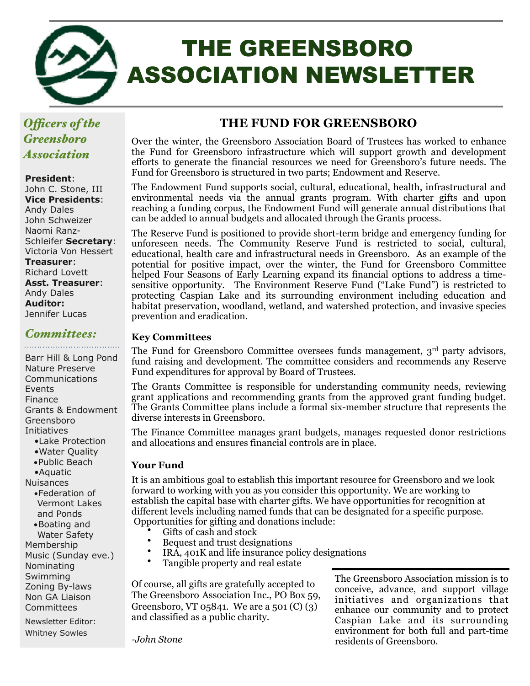

# THE GREENSBORO ASSOCIATION NEWSLETTER

## *Ofcers of the Greensboro Association*

#### **President**:

John C. Stone, III **Vice Presidents**: Andy Dales John Schweizer Naomi Ranz-Schleifer **Secretary**: Victoria Von Hessert **Treasurer**: Richard Lovett **Asst. Treasurer**: Andy Dales **Auditor:**  Jennifer Lucas

## *Committees:*

#### Barr Hill & Long Pond Nature Preserve Communications Events Finance Grants & Endowment Greensboro Initiatives •Lake Protection

- 
- •Water Quality
- •Public Beach
- •Aquatic
- Nuisances
	- •Federation of Vermont Lakes and Ponds
- •Boating and Water Safety Membership Music (Sunday eve.) Nominating

Swimming Zoning By-laws Non GA Liaison **Committees** 

Newsletter Editor: Whitney Sowles

## **THE FUND FOR GREENSBORO**

Over the winter, the Greensboro Association Board of Trustees has worked to enhance the Fund for Greensboro infrastructure which will support growth and development efforts to generate the financial resources we need for Greensboro's future needs. The Fund for Greensboro is structured in two parts; Endowment and Reserve.

The Endowment Fund supports social, cultural, educational, health, infrastructural and environmental needs via the annual grants program. With charter gifts and upon reaching a funding corpus, the Endowment Fund will generate annual distributions that can be added to annual budgets and allocated through the Grants process.

The Reserve Fund is positioned to provide short-term bridge and emergency funding for unforeseen needs. The Community Reserve Fund is restricted to social, cultural, educational, health care and infrastructural needs in Greensboro. As an example of the potential for positive impact, over the winter, the Fund for Greensboro Committee helped Four Seasons of Early Learning expand its financial options to address a timesensitive opportunity. The Environment Reserve Fund ("Lake Fund") is restricted to protecting Caspian Lake and its surrounding environment including education and habitat preservation, woodland, wetland, and watershed protection, and invasive species prevention and eradication.

#### **Key Committees**

The Fund for Greensboro Committee oversees funds management,  $3<sup>rd</sup>$  party advisors, fund raising and development. The committee considers and recommends any Reserve Fund expenditures for approval by Board of Trustees.

The Grants Committee is responsible for understanding community needs, reviewing grant applications and recommending grants from the approved grant funding budget. The Grants Committee plans include a formal six-member structure that represents the diverse interests in Greensboro.

The Finance Committee manages grant budgets, manages requested donor restrictions and allocations and ensures financial controls are in place.

#### **Your Fund**

It is an ambitious goal to establish this important resource for Greensboro and we look forward to working with you as you consider this opportunity. We are working to establish the capital base with charter gifts. We have opportunities for recognition at different levels including named funds that can be designated for a specific purpose. Opportunities for gifting and donations include:

- Gifts of cash and stock
- Bequest and trust designations<br>•  $\mathbb{R}^4$ ,  $\mathbb{R}^4$ ,  $\mathbb{R}^4$  and life incursus  $\mathbb{R}^4$
- IRA, 401K and life insurance policy designations
- Tangible property and real estate

Of course, all gifts are gratefully accepted to The Greensboro Association Inc., PO Box 59, Greensboro, VT 05841. We are a 501 (C) (3) and classified as a public charity.

The Greensboro Association mission is to conceive, advance, and support village initiatives and organizations that enhance our community and to protect Caspian Lake and its surrounding environment for both full and part-time residents of Greensboro.

*-John Stone*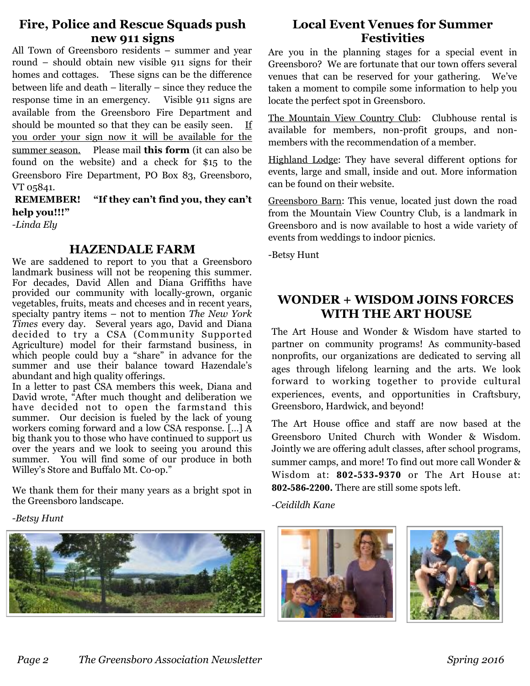### **Fire, Police and Rescue Squads push new 911 signs**

All Town of Greensboro residents – summer and year round – should obtain new visible 911 signs for their homes and cottages. These signs can be the difference between life and death – literally – since they reduce the response time in an emergency. Visible 911 signs are available from the Greensboro Fire Department and should be mounted so that they can be easily seen. If you order your sign now it will be available for the summer season. Please mail **[this form](http://www.greensboroassociation.org/wp-content/uploads/2017/03/911sign.pdf)** (it can also be found on the website) and a check for \$15 to the Greensboro Fire Department, PO Box 83, Greensboro, VT 05841.

 **REMEMBER! "If they can't find you, they can't help you!!!"** 

*-Linda Ely* 

#### **HAZENDALE FARM**

We are saddened to report to you that a Greensboro landmark business will not be reopening this summer. For decades, David Allen and Diana Griffiths have provided our community with locally-grown, organic vegetables, fruits, meats and chceses and in recent years, specialty pantry items – not to mention *The New York Times* every day. Several years ago, David and Diana decided to try a CSA (Community Supported Agriculture) model for their farmstand business, in which people could buy a "share" in advance for the summer and use their balance toward Hazendale's abundant and high quality offerings.

In a letter to past CSA members this week, Diana and David wrote, "After much thought and deliberation we have decided not to open the farmstand this summer. Our decision is fueled by the lack of young workers coming forward and a low CSA response. […] A big thank you to those who have continued to support us over the years and we look to seeing you around this summer. You will find some of our produce in both Willey's Store and Buffalo Mt. Co-op."

We thank them for their many years as a bright spot in the Greensboro landscape.

## **[Local Event Venues for Summer](http://www.greensboroassociation.org/2017/02/27/local-event-venues-summer-festivities/)  [Festivities](http://www.greensboroassociation.org/2017/02/27/local-event-venues-summer-festivities/)**

Are you in the planning stages for a special event in Greensboro? We are fortunate that our town offers several venues that can be reserved for your gathering. We've taken a moment to compile some information to help you locate the perfect spot in Greensboro.

[The Mountain View Country Club](http://www.mvccvt.com/fees/): Clubhouse rental is available for members, non-profit groups, and nonmembers with the recommendation of a member.

[Highland Lodge:](https://www.highlandlodge.com/weddings-events) They have several different options for events, large and small, inside and out. More information can be found on their website.

[Greensboro Barn:](http://www.greensborobarn.com/) This venue, located just down the road from the Mountain View Country Club, is a landmark in Greensboro and is now available to host a wide variety of events from weddings to indoor picnics.

-Betsy Hunt

## **WONDER + WISDOM JOINS FORCES WITH THE ART HOUSE**

The Art House and Wonder & Wisdom have started to partner on community programs! As community-based nonprofits, our organizations are dedicated to serving all ages through lifelong learning and the arts. We look forward to working together to provide cultural experiences, events, and opportunities in Craftsbury, Greensboro, Hardwick, and beyond!

The Art House office and staff are now based at the Greensboro United Church with Wonder & Wisdom. Jointly we are offering adult classes, after school programs, summer camps, and more! To find out more call Wonder & Wisdom at: **802-533-9370** or The Art House at: **802-586-2200.** There are still some spots left.

*-Ceidildh Kane* 



*-Betsy Hunt*

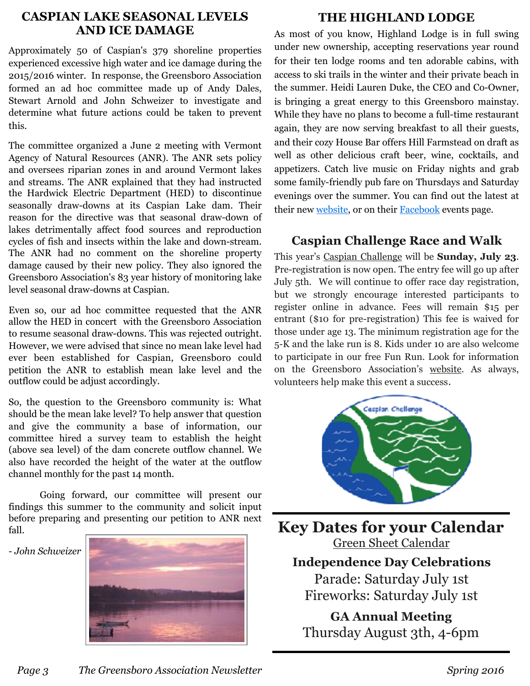### **CASPIAN LAKE SEASONAL LEVELS AND ICE DAMAGE**

Approximately 50 of Caspian's 379 shoreline properties experienced excessive high water and ice damage during the 2015/2016 winter. In response, the Greensboro Association formed an ad hoc committee made up of Andy Dales, Stewart Arnold and John Schweizer to investigate and determine what future actions could be taken to prevent this.

The committee organized a June 2 meeting with Vermont Agency of Natural Resources (ANR). The ANR sets policy and oversees riparian zones in and around Vermont lakes and streams. The ANR explained that they had instructed the Hardwick Electric Department (HED) to discontinue seasonally draw-downs at its Caspian Lake dam. Their reason for the directive was that seasonal draw-down of lakes detrimentally affect food sources and reproduction cycles of fish and insects within the lake and down-stream. The ANR had no comment on the shoreline property damage caused by their new policy. They also ignored the Greensboro Association's 83 year history of monitoring lake level seasonal draw-downs at Caspian.

Even so, our ad hoc committee requested that the ANR allow the HED in concert with the Greensboro Association to resume seasonal draw-downs. This was rejected outright. However, we were advised that since no mean lake level had ever been established for Caspian, Greensboro could petition the ANR to establish mean lake level and the outflow could be adjust accordingly.

So, the question to the Greensboro community is: What should be the mean lake level? To help answer that question and give the community a base of information, our committee hired a survey team to establish the height (above sea level) of the dam concrete outflow channel. We also have recorded the height of the water at the outflow channel monthly for the past 14 month.

 Going forward, our committee will present our findings this summer to the community and solicit input before preparing and presenting our petition to ANR next fall.

#### - *John Schweizer*



## **THE HIGHLAND LODGE**

As most of you know, Highland Lodge is in full swing under new ownership, accepting reservations year round for their ten lodge rooms and ten adorable cabins, with access to ski trails in the winter and their private beach in the summer. Heidi Lauren Duke, the CEO and Co-Owner, is bringing a great energy to this Greensboro mainstay. While they have no plans to become a full-time restaurant again, they are now serving breakfast to all their guests, and their cozy House Bar offers Hill Farmstead on draft as well as other delicious craft beer, wine, cocktails, and appetizers. Catch live music on Friday nights and grab some family-friendly pub fare on Thursdays and Saturday evenings over the summer. You can find out the latest at their new [website](https://www.highlandlodge.com/), or on their **[Facebook](https://www.facebook.com/highlandlodge/)** events page.

## **Caspian Challenge Race and Walk**

This year's [Caspian Challenge](http://www.greensboroassociation.org/calendar/caspian-challenge/) will be **Sunday, July 23**. Pre-registration is now open. The entry fee will go up after July 5th. We will continue to offer race day registration, but we strongly encourage interested participants to register online in advance. Fees will remain \$15 per entrant (\$10 for pre-registration) This fee is waived for those under age 13. The minimum registration age for the 5-K and the lake run is 8. Kids under 10 are also welcome to participate in our free Fun Run. Look for information on the Greensboro Association's [website.](http://www.greensboroassociation.org/calendar/caspian-challenge/) As always, volunteers help make this event a success.



**Key Dates for your Calendar** [Green Sheet Calendar](http://www.greensboroassociation.org/calendar/) **Independence Day Celebrations**  Parade: Saturday July 1st Fireworks: Saturday July 1st **GA Annual Meeting**  Thursday August 3th, 4-6pm